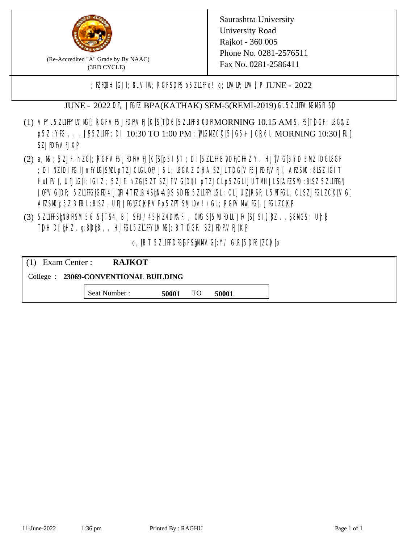

(Re-Accredited "A" Grade by By NAAC) (3RD CYCLE)

Saurashtra University University Road Rajkot - 360 005 Phone No. 0281-2576511 Fax No. 0281-2586411

;  $E[R\mathcal{B} = \text{[GJI]}$ ;  $8LV\mathcal{I}W$ ;  $RGFSD\mathcal{B}$  o  $5Z\mathcal{I}HF q$  ! q;  $\mathcal{I}MP$ ;  $\mathcal{I}W$ ;  $P$  JUNE - 2022

JUNE - 2022 DR, JIGIZ BPA(KATHAK) SEM-5(REMI-2019) GL 5ZLIF VM MSH SP

- (1) VFYL5Z11FFYLVMC[; RGFVF5JEDF\VEJ[K[S[T]D6[5Z11FFB0DF\MORNING 10.15 AM S, IS[T]DGF; I8G\AZ p5Z : YKG, . , UP5ZL1FF; DI 10:30 TO 1:00 PM ; WCGM CK[5| G5+ JCR6L MORNING 10:30 JFU[ SZJED**NVEJXP**
- (2) a, M ; BZJE hZG[; RGFVE5JIDF\VEJ[K[S[p5I]\$T ; DI[5ZI1IFB\DDF\CHIZ Y. HJ]\VG[5|YD 5\VZ lDGI8GF ; DI NZIDI K; IJnFYIG[SMLpTZJCIGLOF/J6L; ISGAZ DHA SZJLTDG[VF5JEDF\VEJ[, AEZSM0 :8LSZ IGIT] HuIFV[, UEJG[]; IGIZ ; 5ZJF. hZG[5ZT SZJFVG[DbI pTZJCLp5ZGLIJUTMHJLS[AEZSM0 :8LSZ 5Z11HG] JQFVG[DF; 5Z11HG]GED4 LJQH 4 TEZIB4 SEN= APS SDES 5Z11 HYIGL ;CL JUL [RSF;L 5MTGL ;CL SZJFGL ZCK[ VG[ AESM p5Z BBL:8LSZ, UEJJG|ZCKPVFp5ZFT SMIOv!) GL; RGFVM EG[, JJGLZCKP
- (3) 5ZUFFS&NDF\SM.56 5}TS4, B[, SFU/45HZ4D\MAF., OMS[5|NU|PDIUJF/]S[ SI], [8Z.,[S8]ACS; Uh[8 TDH D[ $jHZ$ .g:8D $jg$ ,. HJ $KL$ 5ZL1FFYLVMS[;BT DGF. SZJEDFIVEJ[KP]

o, IBT 5Z11FDBGFSMM/G[:Y/ GIR[5DF6[ZCK[0]

| $(1)$ Exam Center :                   | <b>RAJKOT</b> |       |     |       |  |  |
|---------------------------------------|---------------|-------|-----|-------|--|--|
| College : 23069-CONVENTIONAL BUILDING |               |       |     |       |  |  |
|                                       | Seat Number : | 50001 | TO. | 50001 |  |  |